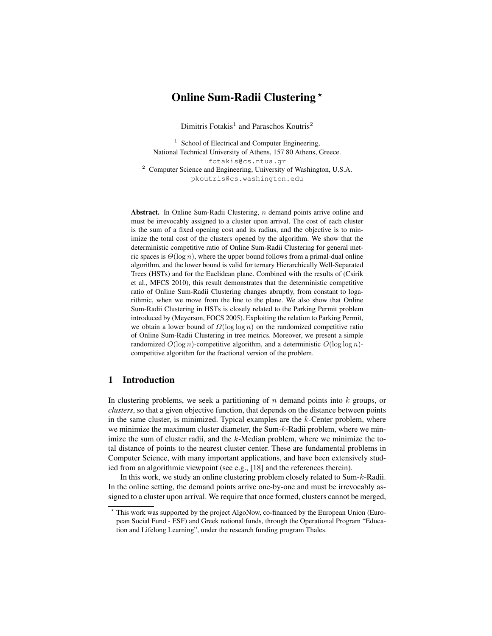## Online Sum-Radii Clustering \*

Dimitris Fotakis<sup>1</sup> and Paraschos Koutris<sup>2</sup>

<sup>1</sup> School of Electrical and Computer Engineering, National Technical University of Athens, 157 80 Athens, Greece. fotakis@cs.ntua.gr <sup>2</sup> Computer Science and Engineering, University of Washington, U.S.A. pkoutris@cs.washington.edu

Abstract. In Online Sum-Radii Clustering,  $n$  demand points arrive online and must be irrevocably assigned to a cluster upon arrival. The cost of each cluster is the sum of a fixed opening cost and its radius, and the objective is to minimize the total cost of the clusters opened by the algorithm. We show that the deterministic competitive ratio of Online Sum-Radii Clustering for general metric spaces is  $\Theta(\log n)$ , where the upper bound follows from a primal-dual online algorithm, and the lower bound is valid for ternary Hierarchically Well-Separated Trees (HSTs) and for the Euclidean plane. Combined with the results of (Csirik et al., MFCS 2010), this result demonstrates that the deterministic competitive ratio of Online Sum-Radii Clustering changes abruptly, from constant to logarithmic, when we move from the line to the plane. We also show that Online Sum-Radii Clustering in HSTs is closely related to the Parking Permit problem introduced by (Meyerson, FOCS 2005). Exploiting the relation to Parking Permit, we obtain a lower bound of  $\Omega(\log \log n)$  on the randomized competitive ratio of Online Sum-Radii Clustering in tree metrics. Moreover, we present a simple randomized  $O(\log n)$ -competitive algorithm, and a deterministic  $O(\log \log n)$ competitive algorithm for the fractional version of the problem.

## 1 Introduction

In clustering problems, we seek a partitioning of  $n$  demand points into  $k$  groups, or *clusters*, so that a given objective function, that depends on the distance between points in the same cluster, is minimized. Typical examples are the  $k$ -Center problem, where we minimize the maximum cluster diameter, the Sum-k-Radii problem, where we minimize the sum of cluster radii, and the  $k$ -Median problem, where we minimize the total distance of points to the nearest cluster center. These are fundamental problems in Computer Science, with many important applications, and have been extensively studied from an algorithmic viewpoint (see e.g., [18] and the references therein).

In this work, we study an online clustering problem closely related to Sum-k-Radii. In the online setting, the demand points arrive one-by-one and must be irrevocably assigned to a cluster upon arrival. We require that once formed, clusters cannot be merged,

<sup>?</sup> This work was supported by the project AlgoNow, co-financed by the European Union (European Social Fund - ESF) and Greek national funds, through the Operational Program "Education and Lifelong Learning", under the research funding program Thales.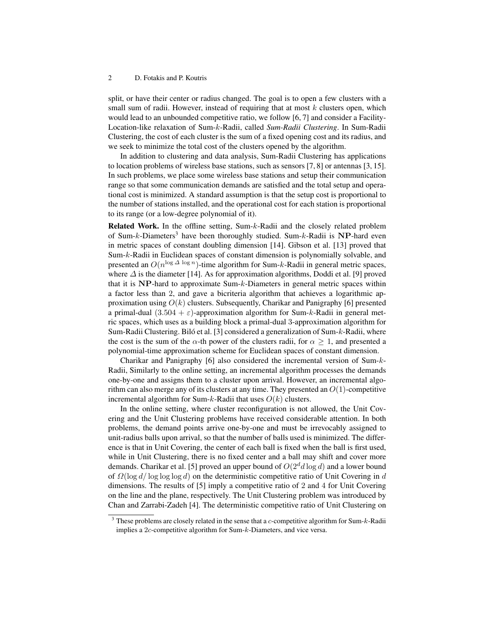#### 2 D. Fotakis and P. Koutris

split, or have their center or radius changed. The goal is to open a few clusters with a small sum of radii. However, instead of requiring that at most  $k$  clusters open, which would lead to an unbounded competitive ratio, we follow [6, 7] and consider a Facility-Location-like relaxation of Sum-k-Radii, called *Sum-Radii Clustering*. In Sum-Radii Clustering, the cost of each cluster is the sum of a fixed opening cost and its radius, and we seek to minimize the total cost of the clusters opened by the algorithm.

In addition to clustering and data analysis, Sum-Radii Clustering has applications to location problems of wireless base stations, such as sensors [7, 8] or antennas [3, 15]. In such problems, we place some wireless base stations and setup their communication range so that some communication demands are satisfied and the total setup and operational cost is minimized. A standard assumption is that the setup cost is proportional to the number of stations installed, and the operational cost for each station is proportional to its range (or a low-degree polynomial of it).

Related Work. In the offline setting, Sum-k-Radii and the closely related problem of Sum-k-Diameters<sup>3</sup> have been thoroughly studied. Sum-k-Radii is NP-hard even in metric spaces of constant doubling dimension [14]. Gibson et al. [13] proved that Sum-k-Radii in Euclidean spaces of constant dimension is polynomially solvable, and presented an  $O(n^{\log \Delta \log n})$ -time algorithm for Sum-k-Radii in general metric spaces, where  $\Delta$  is the diameter [14]. As for approximation algorithms, Doddi et al. [9] proved that it is NP-hard to approximate Sum-k-Diameters in general metric spaces within a factor less than 2, and gave a bicriteria algorithm that achieves a logarithmic approximation using  $O(k)$  clusters. Subsequently, Charikar and Panigraphy [6] presented a primal-dual  $(3.504 + \varepsilon)$ -approximation algorithm for Sum-k-Radii in general metric spaces, which uses as a building block a primal-dual 3-approximation algorithm for Sum-Radii Clustering. Biló et al. [3] considered a generalization of Sum- $k$ -Radii, where the cost is the sum of the  $\alpha$ -th power of the clusters radii, for  $\alpha > 1$ , and presented a polynomial-time approximation scheme for Euclidean spaces of constant dimension.

Charikar and Panigraphy [6] also considered the incremental version of Sum-k-Radii, Similarly to the online setting, an incremental algorithm processes the demands one-by-one and assigns them to a cluster upon arrival. However, an incremental algorithm can also merge any of its clusters at any time. They presented an  $O(1)$ -competitive incremental algorithm for Sum-k-Radii that uses  $O(k)$  clusters.

In the online setting, where cluster reconfiguration is not allowed, the Unit Covering and the Unit Clustering problems have received considerable attention. In both problems, the demand points arrive one-by-one and must be irrevocably assigned to unit-radius balls upon arrival, so that the number of balls used is minimized. The difference is that in Unit Covering, the center of each ball is fixed when the ball is first used, while in Unit Clustering, there is no fixed center and a ball may shift and cover more demands. Charikar et al. [5] proved an upper bound of  $O(2^d d \log d)$  and a lower bound of  $\Omega(\log d / \log \log \log d)$  on the deterministic competitive ratio of Unit Covering in d dimensions. The results of [5] imply a competitive ratio of 2 and 4 for Unit Covering on the line and the plane, respectively. The Unit Clustering problem was introduced by Chan and Zarrabi-Zadeh [4]. The deterministic competitive ratio of Unit Clustering on

 $3$  These problems are closely related in the sense that a c-competitive algorithm for Sum-k-Radii implies a 2c-competitive algorithm for Sum-k-Diameters, and vice versa.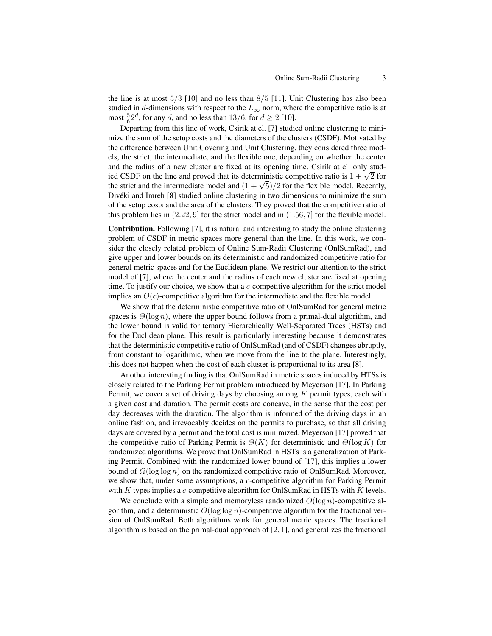the line is at most  $5/3$  [10] and no less than  $8/5$  [11]. Unit Clustering has also been studied in d-dimensions with respect to the  $L_{\infty}$  norm, where the competitive ratio is at most  $\frac{5}{6}2^d$ , for any d, and no less than 13/6, for  $d \ge 2$  [10].

Departing from this line of work, Csirik at el. [7] studied online clustering to minimize the sum of the setup costs and the diameters of the clusters (CSDF). Motivated by the difference between Unit Covering and Unit Clustering, they considered three models, the strict, the intermediate, and the flexible one, depending on whether the center and the radius of a new cluster are fixed at its opening time. Csirik at el. only studied CSDF on the line and proved that its deterministic competitive ratio is  $1 + \sqrt{2}$  for the strict and the intermediate model and  $(1 + \sqrt{5})/2$  for the flexible model. Recently, Divéki and Imreh [8] studied online clustering in two dimensions to minimize the sum of the setup costs and the area of the clusters. They proved that the competitive ratio of this problem lies in  $(2.22, 9]$  for the strict model and in  $(1.56, 7]$  for the flexible model.

Contribution. Following [7], it is natural and interesting to study the online clustering problem of CSDF in metric spaces more general than the line. In this work, we consider the closely related problem of Online Sum-Radii Clustering (OnlSumRad), and give upper and lower bounds on its deterministic and randomized competitive ratio for general metric spaces and for the Euclidean plane. We restrict our attention to the strict model of [7], where the center and the radius of each new cluster are fixed at opening time. To justify our choice, we show that a  $c$ -competitive algorithm for the strict model implies an  $O(c)$ -competitive algorithm for the intermediate and the flexible model.

We show that the deterministic competitive ratio of OnlSumRad for general metric spaces is  $\Theta(\log n)$ , where the upper bound follows from a primal-dual algorithm, and the lower bound is valid for ternary Hierarchically Well-Separated Trees (HSTs) and for the Euclidean plane. This result is particularly interesting because it demonstrates that the deterministic competitive ratio of OnlSumRad (and of CSDF) changes abruptly, from constant to logarithmic, when we move from the line to the plane. Interestingly, this does not happen when the cost of each cluster is proportional to its area [8].

Another interesting finding is that OnlSumRad in metric spaces induced by HTSs is closely related to the Parking Permit problem introduced by Meyerson [17]. In Parking Permit, we cover a set of driving days by choosing among  $K$  permit types, each with a given cost and duration. The permit costs are concave, in the sense that the cost per day decreases with the duration. The algorithm is informed of the driving days in an online fashion, and irrevocably decides on the permits to purchase, so that all driving days are covered by a permit and the total cost is minimized. Meyerson [17] proved that the competitive ratio of Parking Permit is  $\Theta(K)$  for deterministic and  $\Theta(\log K)$  for randomized algorithms. We prove that OnlSumRad in HSTs is a generalization of Parking Permit. Combined with the randomized lower bound of [17], this implies a lower bound of  $\Omega(\log \log n)$  on the randomized competitive ratio of OnlSumRad. Moreover, we show that, under some assumptions, a c-competitive algorithm for Parking Permit with  $K$  types implies a  $c$ -competitive algorithm for OnlSumRad in HSTs with  $K$  levels.

We conclude with a simple and memoryless randomized  $O(\log n)$ -competitive algorithm, and a deterministic  $O(\log \log n)$ -competitive algorithm for the fractional version of OnlSumRad. Both algorithms work for general metric spaces. The fractional algorithm is based on the primal-dual approach of [2, 1], and generalizes the fractional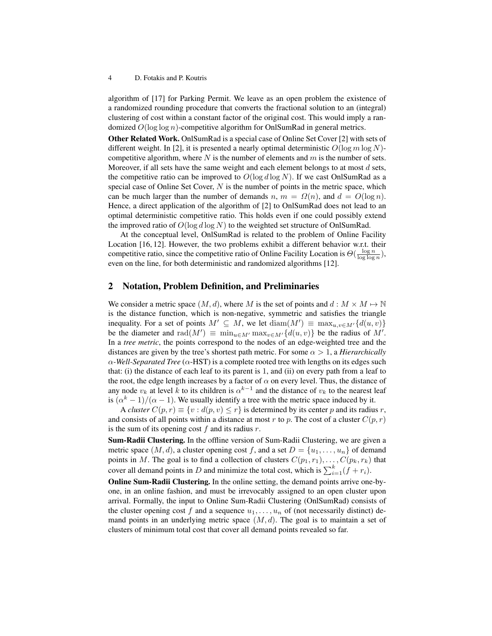algorithm of [17] for Parking Permit. We leave as an open problem the existence of a randomized rounding procedure that converts the fractional solution to an (integral) clustering of cost within a constant factor of the original cost. This would imply a randomized  $O(\log \log n)$ -competitive algorithm for OnlSumRad in general metrics.

Other Related Work. OnlSumRad is a special case of Online Set Cover [2] with sets of different weight. In [2], it is presented a nearly optimal deterministic  $O(\log m \log N)$ competitive algorithm, where  $N$  is the number of elements and  $m$  is the number of sets. Moreover, if all sets have the same weight and each element belongs to at most  $d$  sets, the competitive ratio can be improved to  $O(\log d \log N)$ . If we cast OnlSumRad as a special case of Online Set Cover,  $N$  is the number of points in the metric space, which can be much larger than the number of demands  $n, m = \Omega(n)$ , and  $d = O(\log n)$ . Hence, a direct application of the algorithm of [2] to OnlSumRad does not lead to an optimal deterministic competitive ratio. This holds even if one could possibly extend the improved ratio of  $O(\log d \log N)$  to the weighted set structure of OnlSumRad.

At the conceptual level, OnlSumRad is related to the problem of Online Facility Location [16, 12]. However, the two problems exhibit a different behavior w.r.t. their competitive ratio, since the competitive ratio of Online Facility Location is  $\Theta(\frac{\log n}{\log \log n})$ , even on the line, for both deterministic and randomized algorithms [12].

## 2 Notation, Problem Definition, and Preliminaries

We consider a metric space  $(M, d)$ , where M is the set of points and  $d : M \times M \mapsto \mathbb{N}$ is the distance function, which is non-negative, symmetric and satisfies the triangle inequality. For a set of points  $M' \subseteq M$ , we let  $\text{diam}(M') \equiv \max_{u,v \in M'} \{d(u,v)\}\$ be the diameter and  $rad(M') \equiv min_{u \in M'} max_{v \in M'} \{d(u, v)\}\$  be the radius of M'. In a *tree metric*, the points correspond to the nodes of an edge-weighted tree and the distances are given by the tree's shortest path metric. For some  $\alpha > 1$ , a *Hierarchically* α*-Well-Separated Tree* (α-HST) is a complete rooted tree with lengths on its edges such that: (i) the distance of each leaf to its parent is 1, and (ii) on every path from a leaf to the root, the edge length increases by a factor of  $\alpha$  on every level. Thus, the distance of any node  $v_k$  at level k to its children is  $\alpha^{k-1}$  and the distance of  $v_k$  to the nearest leaf is  $(\alpha^{k} - 1)/(\alpha - 1)$ . We usually identify a tree with the metric space induced by it.

A *cluster*  $C(p, r) \equiv \{v : d(p, v) \leq r\}$  is determined by its center p and its radius r, and consists of all points within a distance at most r to p. The cost of a cluster  $C(p, r)$ is the sum of its opening cost  $f$  and its radius  $r$ .

Sum-Radii Clustering. In the offline version of Sum-Radii Clustering, we are given a metric space  $(M, d)$ , a cluster opening cost f, and a set  $D = \{u_1, \ldots, u_n\}$  of demand points in M. The goal is to find a collection of clusters  $C(p_1, r_1), \ldots, C(p_k, r_k)$  that cover all demand points in D and minimize the total cost, which is  $\sum_{i=1}^{k} (f + r_i)$ .

Online Sum-Radii Clustering. In the online setting, the demand points arrive one-byone, in an online fashion, and must be irrevocably assigned to an open cluster upon arrival. Formally, the input to Online Sum-Radii Clustering (OnlSumRad) consists of the cluster opening cost f and a sequence  $u_1, \ldots, u_n$  of (not necessarily distinct) demand points in an underlying metric space  $(M, d)$ . The goal is to maintain a set of clusters of minimum total cost that cover all demand points revealed so far.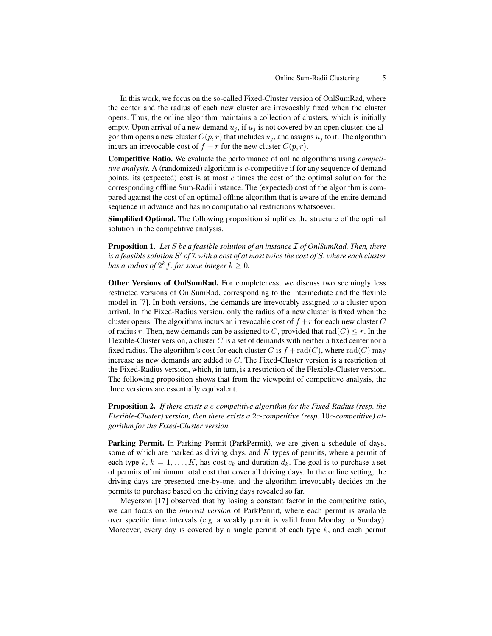In this work, we focus on the so-called Fixed-Cluster version of OnlSumRad, where the center and the radius of each new cluster are irrevocably fixed when the cluster opens. Thus, the online algorithm maintains a collection of clusters, which is initially empty. Upon arrival of a new demand  $u_j$ , if  $u_j$  is not covered by an open cluster, the algorithm opens a new cluster  $C(p, r)$  that includes  $u_j$ , and assigns  $u_j$  to it. The algorithm incurs an irrevocable cost of  $f + r$  for the new cluster  $C(p, r)$ .

Competitive Ratio. We evaluate the performance of online algorithms using *competitive analysis*. A (randomized) algorithm is c-competitive if for any sequence of demand points, its (expected) cost is at most  $c$  times the cost of the optimal solution for the corresponding offline Sum-Radii instance. The (expected) cost of the algorithm is compared against the cost of an optimal offline algorithm that is aware of the entire demand sequence in advance and has no computational restrictions whatsoever.

Simplified Optimal. The following proposition simplifies the structure of the optimal solution in the competitive analysis.

Proposition 1. *Let* S *be a feasible solution of an instance* I *of OnlSumRad. Then, there is a feasible solution* S <sup>0</sup> *of* <sup>I</sup> *with a cost of at most twice the cost of* <sup>S</sup>*, where each cluster* has a radius of  $2^k f$ , for some integer  $k \geq 0$ .

Other Versions of OnlSumRad. For completeness, we discuss two seemingly less restricted versions of OnlSumRad, corresponding to the intermediate and the flexible model in [7]. In both versions, the demands are irrevocably assigned to a cluster upon arrival. In the Fixed-Radius version, only the radius of a new cluster is fixed when the cluster opens. The algorithms incurs an irrevocable cost of  $f + r$  for each new cluster C of radius r. Then, new demands can be assigned to C, provided that  $rad(C) \leq r$ . In the Flexible-Cluster version, a cluster  $C$  is a set of demands with neither a fixed center nor a fixed radius. The algorithm's cost for each cluster C is  $f + rad(C)$ , where rad(C) may increase as new demands are added to C. The Fixed-Cluster version is a restriction of the Fixed-Radius version, which, in turn, is a restriction of the Flexible-Cluster version. The following proposition shows that from the viewpoint of competitive analysis, the three versions are essentially equivalent.

Proposition 2. *If there exists a* c*-competitive algorithm for the Fixed-Radius (resp. the Flexible-Cluster) version, then there exists a* 2c*-competitive (resp.* 10c*-competitive) algorithm for the Fixed-Cluster version.*

Parking Permit. In Parking Permit (ParkPermit), we are given a schedule of days, some of which are marked as driving days, and  $K$  types of permits, where a permit of each type k,  $k = 1, ..., K$ , has cost  $c_k$  and duration  $d_k$ . The goal is to purchase a set of permits of minimum total cost that cover all driving days. In the online setting, the driving days are presented one-by-one, and the algorithm irrevocably decides on the permits to purchase based on the driving days revealed so far.

Meyerson [17] observed that by losing a constant factor in the competitive ratio, we can focus on the *interval version* of ParkPermit, where each permit is available over specific time intervals (e.g. a weakly permit is valid from Monday to Sunday). Moreover, every day is covered by a single permit of each type  $k$ , and each permit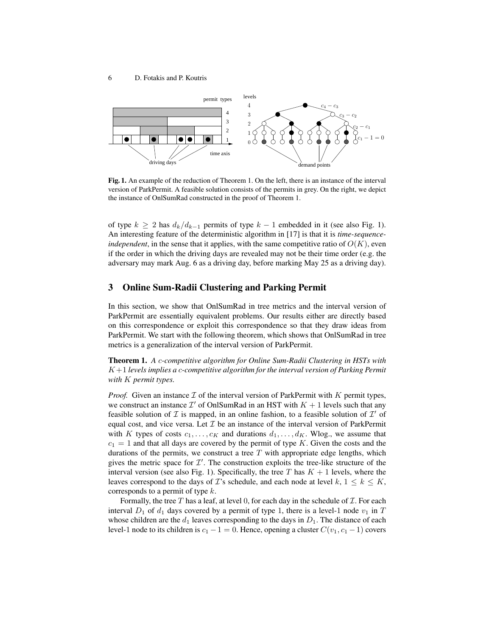

Fig. 1. An example of the reduction of Theorem 1. On the left, there is an instance of the interval version of ParkPermit. A feasible solution consists of the permits in grey. On the right, we depict the instance of OnlSumRad constructed in the proof of Theorem 1.

of type  $k \ge 2$  has  $d_k/d_{k-1}$  permits of type  $k-1$  embedded in it (see also Fig. 1). An interesting feature of the deterministic algorithm in [17] is that it is *time-sequenceindependent*, in the sense that it applies, with the same competitive ratio of  $O(K)$ , even if the order in which the driving days are revealed may not be their time order (e.g. the adversary may mark Aug. 6 as a driving day, before marking May 25 as a driving day).

## 3 Online Sum-Radii Clustering and Parking Permit

In this section, we show that OnlSumRad in tree metrics and the interval version of ParkPermit are essentially equivalent problems. Our results either are directly based on this correspondence or exploit this correspondence so that they draw ideas from ParkPermit. We start with the following theorem, which shows that OnlSumRad in tree metrics is a generalization of the interval version of ParkPermit.

Theorem 1. *A* c*-competitive algorithm for Online Sum-Radii Clustering in HSTs with* K+1 *levels implies a* c*-competitive algorithm for the interval version of Parking Permit with* K *permit types.*

*Proof.* Given an instance  $\mathcal{I}$  of the interval version of ParkPermit with  $K$  permit types, we construct an instance  $\mathcal{I}'$  of OnlSumRad in an HST with  $K + 1$  levels such that any feasible solution of  $\mathcal I$  is mapped, in an online fashion, to a feasible solution of  $\mathcal I'$  of equal cost, and vice versa. Let  $\mathcal I$  be an instance of the interval version of ParkPermit with K types of costs  $c_1, \ldots, c_k$  and durations  $d_1, \ldots, d_k$ . Wlog., we assume that  $c_1 = 1$  and that all days are covered by the permit of type K. Given the costs and the durations of the permits, we construct a tree  $T$  with appropriate edge lengths, which gives the metric space for  $\mathcal{I}'$ . The construction exploits the tree-like structure of the interval version (see also Fig. 1). Specifically, the tree T has  $K + 1$  levels, where the leaves correspond to the days of T's schedule, and each node at level  $k, 1 \leq k \leq K$ , corresponds to a permit of type k.

Formally, the tree  $T$  has a leaf, at level 0, for each day in the schedule of  $T$ . For each interval  $D_1$  of  $d_1$  days covered by a permit of type 1, there is a level-1 node  $v_1$  in T whose children are the  $d_1$  leaves corresponding to the days in  $D_1$ . The distance of each level-1 node to its children is  $c_1 - 1 = 0$ . Hence, opening a cluster  $C(v_1, c_1 - 1)$  covers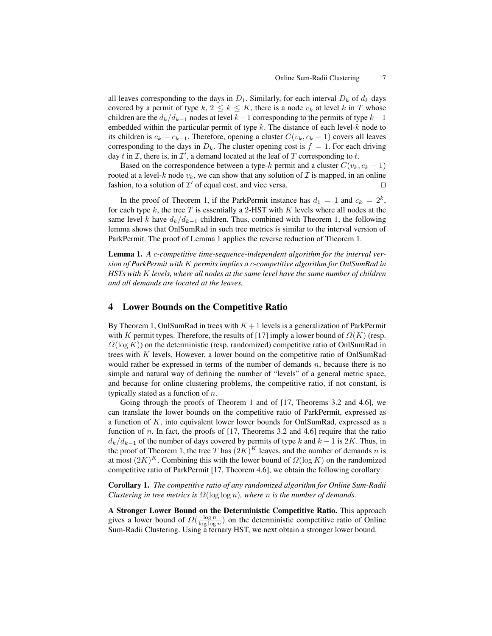all leaves corresponding to the days in  $D_1$ . Similarly, for each interval  $D_k$  of  $d_k$  days covered by a permit of type  $k, 2 \leq k \leq K$ , there is a node  $v_k$  at level k in T whose children are the  $d_k/d_{k-1}$  nodes at level  $k-1$  corresponding to the permits of type  $k-1$ embedded within the particular permit of type  $k$ . The distance of each level- $k$  node to its children is  $c_k - c_{k-1}$ . Therefore, opening a cluster  $C(v_k, c_k - 1)$  covers all leaves corresponding to the days in  $D_k$ . The cluster opening cost is  $f = 1$ . For each driving day t in  $\mathcal I$ , there is, in  $\mathcal I'$ , a demand located at the leaf of  $T$  corresponding to t.

Based on the correspondence between a type-k permit and a cluster  $C(v_k, c_k - 1)$ rooted at a level-k node  $v_k$ , we can show that any solution of  $\mathcal I$  is mapped, in an online fashion, to a solution of  $\mathcal I'$  of equal cost, and vice versa. fashion, to a solution of  $\mathcal{I}'$  of equal cost, and vice versa.

In the proof of Theorem 1, if the ParkPermit instance has  $d_1 = 1$  and  $c_k = 2^k$ , for each type  $k$ , the tree  $T$  is essentially a 2-HST with  $K$  levels where all nodes at the same level k have  $d_k/d_{k-1}$  children. Thus, combined with Theorem 1, the following lemma shows that OnlSumRad in such tree metrics is similar to the interval version of ParkPermit. The proof of Lemma 1 applies the reverse reduction of Theorem 1.

Lemma 1. *A* c*-competitive time-sequence-independent algorithm for the interval version of ParkPermit with* K *permits implies a* c*-competitive algorithm for OnlSumRad in HSTs with* K *levels, where all nodes at the same level have the same number of children and all demands are located at the leaves.*

### 4 Lower Bounds on the Competitive Ratio

By Theorem 1, OnlSumRad in trees with  $K + 1$  levels is a generalization of ParkPermit with K permit types. Therefore, the results of [17] imply a lower bound of  $\Omega(K)$  (resp.  $\Omega(\log K)$ ) on the deterministic (resp. randomized) competitive ratio of OnlSumRad in trees with K levels. However, a lower bound on the competitive ratio of OnlSumRad would rather be expressed in terms of the number of demands  $n$ , because there is no simple and natural way of defining the number of "levels" of a general metric space, and because for online clustering problems, the competitive ratio, if not constant, is typically stated as a function of  $n$ .

Going through the proofs of Theorem 1 and of [17, Theorems 3.2 and 4.6], we can translate the lower bounds on the competitive ratio of ParkPermit, expressed as a function of K, into equivalent lower lower bounds for OnlSumRad, expressed as a function of  $n$ . In fact, the proofs of [17, Theorems 3.2 and 4.6] require that the ratio  $d_k/d_{k-1}$  of the number of days covered by permits of type k and  $k-1$  is 2K. Thus, in the proof of Theorem 1, the tree T has  $(2K)^K$  leaves, and the number of demands n is at most  $(2K)^K$ . Combining this with the lower bound of  $\Omega(\log K)$  on the randomized competitive ratio of ParkPermit [17, Theorem 4.6], we obtain the following corollary:

Corollary 1. *The competitive ratio of any randomized algorithm for Online Sum-Radii Clustering in tree metrics is* Ω(log log n)*, where* n *is the number of demands.*

A Stronger Lower Bound on the Deterministic Competitive Ratio. This approach gives a lower bound of  $\Omega(\frac{\log n}{\log \log n})$  on the deterministic competitive ratio of Online Sum-Radii Clustering. Using a ternary HST, we next obtain a stronger lower bound.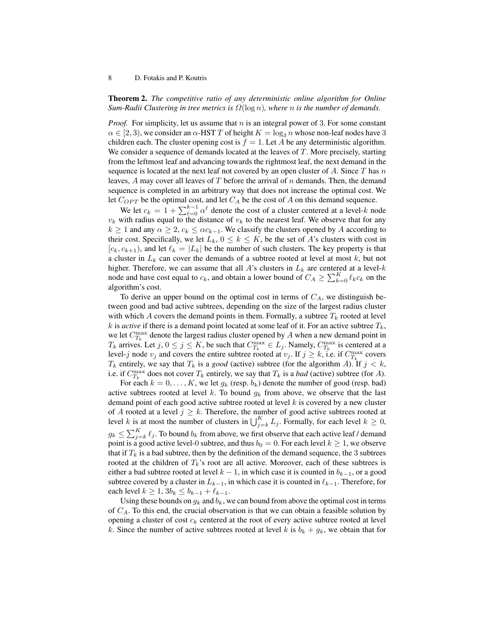Theorem 2. *The competitive ratio of any deterministic online algorithm for Online Sum-Radii Clustering in tree metrics is*  $\Omega(\log n)$ *, where n is the number of demands.* 

*Proof.* For simplicity, let us assume that  $n$  is an integral power of 3. For some constant  $\alpha \in [2, 3)$ , we consider an  $\alpha$ -HST T of height  $K = \log_3 n$  whose non-leaf nodes have 3 children each. The cluster opening cost is  $f = 1$ . Let A be any deterministic algorithm. We consider a sequence of demands located at the leaves of  $T$ . More precisely, starting from the leftmost leaf and advancing towards the rightmost leaf, the next demand in the sequence is located at the next leaf not covered by an open cluster of A. Since  $T$  has n leaves,  $A$  may cover all leaves of  $T$  before the arrival of  $n$  demands. Then, the demand sequence is completed in an arbitrary way that does not increase the optimal cost. We let  $C_{OPT}$  be the optimal cost, and let  $C_A$  be the cost of A on this demand sequence.

We let  $c_k = 1 + \sum_{\ell=0}^{k-1} \alpha^{\ell}$  denote the cost of a cluster centered at a level-k node  $v_k$  with radius equal to the distance of  $v_k$  to the nearest leaf. We observe that for any  $k \ge 1$  and any  $\alpha \ge 2$ ,  $c_k \le \alpha c_{k-1}$ . We classify the clusters opened by A according to their cost. Specifically, we let  $L_k$ ,  $0 \le k \le K$ , be the set of A's clusters with cost in  $[c_k, c_{k+1})$ , and let  $\ell_k = |L_k|$  be the number of such clusters. The key property is that a cluster in  $L_k$  can cover the demands of a subtree rooted at level at most k, but not higher. Therefore, we can assume that all A's clusters in  $L_k$  are centered at a level-k node and have cost equal to  $c_k$ , and obtain a lower bound of  $C_A \ge \sum_{k=0}^K \ell_k c_k$  on the algorithm's cost.

To derive an upper bound on the optimal cost in terms of  $C_A$ , we distinguish between good and bad active subtrees, depending on the size of the largest radius cluster with which A covers the demand points in them. Formally, a subtree  $T_k$  rooted at level k is *active* if there is a demand point located at some leaf of it. For an active subtree  $T_k$ , we let  $C_{T_k}^{\text{max}}$  denote the largest radius cluster opened by A when a new demand point in  $T_k$  arrives. Let  $j, 0 \le j \le K$ , be such that  $C_{T_k}^{\max} \in L_j$ . Namely,  $C_{T_k}^{\max}$  is centered at a level-j node  $v_j$  and covers the entire subtree rooted at  $v_j$ . If  $j \ge k$ , i.e. if  $C_{T_k}^{\max}$  covers  $T_k$  entirely, we say that  $T_k$  is a *good* (active) subtree (for the algorithm A). If  $j < k$ , i.e. if  $C_{T_k}^{\max}$  does not cover  $T_k$  entirely, we say that  $T_k$  is a *bad* (active) subtree (for A).

For each  $k = 0, \ldots, K$ , we let  $g_k$  (resp.  $b_k$ ) denote the number of good (resp. bad) active subtrees rooted at level k. To bound  $g_k$  from above, we observe that the last demand point of each good active subtree rooted at level  $k$  is covered by a new cluster of A rooted at a level  $j \geq k$ . Therefore, the number of good active subtrees rooted at level k is at most the number of clusters in  $\bigcup_{j=k}^{K} L_j$ . Formally, for each level  $k \geq 0$ ,  $g_k \leq \sum_{j=k}^{K} \ell_j$ . To bound  $b_k$  from above, we first observe that each active leaf / demand point is a good active level-0 subtree, and thus  $b_0 = 0$ . For each level  $k \ge 1$ , we observe that if  $T_k$  is a bad subtree, then by the definition of the demand sequence, the 3 subtrees rooted at the children of  $T_k$ 's root are all active. Moreover, each of these subtrees is either a bad subtree rooted at level  $k - 1$ , in which case it is counted in  $b_{k-1}$ , or a good subtree covered by a cluster in  $L_{k-1}$ , in which case it is counted in  $\ell_{k-1}$ . Therefore, for each level  $k \ge 1$ ,  $3b_k \le b_{k-1} + \ell_{k-1}$ .

Using these bounds on  $g_k$  and  $b_k$ , we can bound from above the optimal cost in terms of  $C_A$ . To this end, the crucial observation is that we can obtain a feasible solution by opening a cluster of cost  $c_k$  centered at the root of every active subtree rooted at level k. Since the number of active subtrees rooted at level k is  $b_k + g_k$ , we obtain that for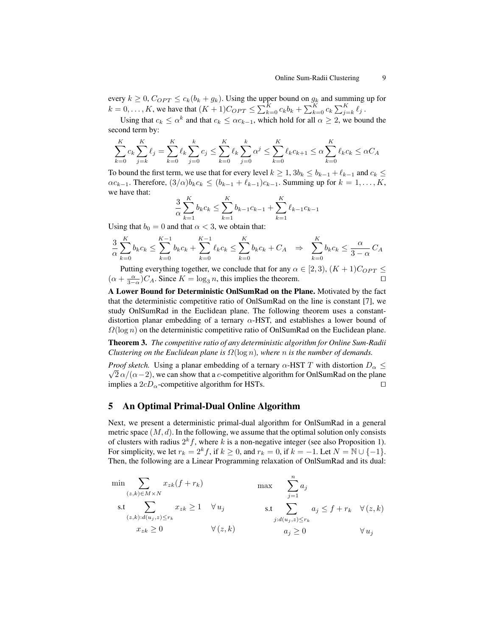every  $k \geq 0$ ,  $C_{OPT} \leq c_k(b_k + g_k)$ . Using the upper bound on  $g_k$  and summing up for  $k = 0, ..., K$ , we have that  $(K + 1)C_{OPT} \le \sum_{k=0}^{K} c_k b_k + \sum_{k=0}^{K} c_k \sum_{j=k}^{K} \ell_j$ .

Using that  $c_k \le \alpha^k$  and that  $c_k \le \alpha c_{k-1}$ , which hold for all  $\alpha \ge 2$ , we bound the second term by:

$$
\sum_{k=0}^{K} c_k \sum_{j=k}^{K} \ell_j = \sum_{k=0}^{K} \ell_k \sum_{j=0}^{k} c_j \le \sum_{k=0}^{K} \ell_k \sum_{j=0}^{k} \alpha^j \le \sum_{k=0}^{K} \ell_k c_{k+1} \le \alpha \sum_{k=0}^{K} \ell_k c_k \le \alpha C_A
$$

To bound the first term, we use that for every level  $k \ge 1$ ,  $3b_k \le b_{k-1} + \ell_{k-1}$  and  $c_k \le$  $\alpha c_{k-1}$ . Therefore,  $(3/\alpha)b_kc_k \leq (b_{k-1} + \ell_{k-1})c_{k-1}$ . Summing up for  $k = 1, \ldots, K$ , we have that:

$$
\frac{3}{\alpha} \sum_{k=1}^{K} b_k c_k \le \sum_{k=1}^{K} b_{k-1} c_{k-1} + \sum_{k=1}^{K} \ell_{k-1} c_{k-1}
$$

Using that  $b_0 = 0$  and that  $\alpha < 3$ , we obtain that:

$$
\frac{3}{\alpha} \sum_{k=0}^{K} b_k c_k \le \sum_{k=0}^{K-1} b_k c_k + \sum_{k=0}^{K-1} \ell_k c_k \le \sum_{k=0}^{K} b_k c_k + C_A \implies \sum_{k=0}^{K} b_k c_k \le \frac{\alpha}{3-\alpha} C_A
$$

Putting everything together, we conclude that for any  $\alpha \in [2,3)$ ,  $(K+1)C_{OPT} \leq$  $(\alpha + \frac{\alpha}{3-\alpha})C_A$ . Since  $K = \log_3 n$ , this implies the theorem.

A Lower Bound for Deterministic OnlSumRad on the Plane. Motivated by the fact that the deterministic competitive ratio of OnlSumRad on the line is constant [7], we study OnlSumRad in the Euclidean plane. The following theorem uses a constantdistortion planar embedding of a ternary  $\alpha$ -HST, and establishes a lower bound of  $\Omega(\log n)$  on the deterministic competitive ratio of OnlSumRad on the Euclidean plane.

Theorem 3. *The competitive ratio of any deterministic algorithm for Online Sum-Radii Clustering on the Euclidean plane is* Ω(log n)*, where* n *is the number of demands.*

*Proof sketch.* Using a planar embedding of a ternary  $\alpha$ -HST T with distortion  $D_{\alpha} \leq$  $\sqrt{2} \alpha/(\alpha - 2)$ , we can show that a c-competitive algorithm for OnlSumRad on the plane implies a  $2cD_\alpha$ -competitive algorithm for HSTs.

## 5 An Optimal Primal-Dual Online Algorithm

Next, we present a deterministic primal-dual algorithm for OnlSumRad in a general metric space  $(M, d)$ . In the following, we assume that the optimal solution only consists of clusters with radius  $2^k f$ , where k is a non-negative integer (see also Proposition 1). For simplicity, we let  $r_k = 2^k f$ , if  $k \ge 0$ , and  $r_k = 0$ , if  $k = -1$ . Let  $N = \mathbb{N} \cup \{-1\}$ . Then, the following are a Linear Programming relaxation of OnlSumRad and its dual:

$$
\min \sum_{(z,k)\in M\times N} x_{zk}(f+r_k) \qquad \max \sum_{j=1}^n a_j
$$
\n
$$
\text{s.t } \sum_{(z,k):d(u_j,z)\leq r_k} x_{zk} \geq 1 \quad \forall u_j \qquad \text{s.t } \sum_{j:d(u_j,z)\leq r_k} a_j \leq f+r_k \quad \forall (z,k)
$$
\n
$$
x_{zk} \geq 0 \qquad \forall (z,k) \qquad \underset{a_j \geq 0}{\text{s.t}} \geq 0 \qquad \forall u_j
$$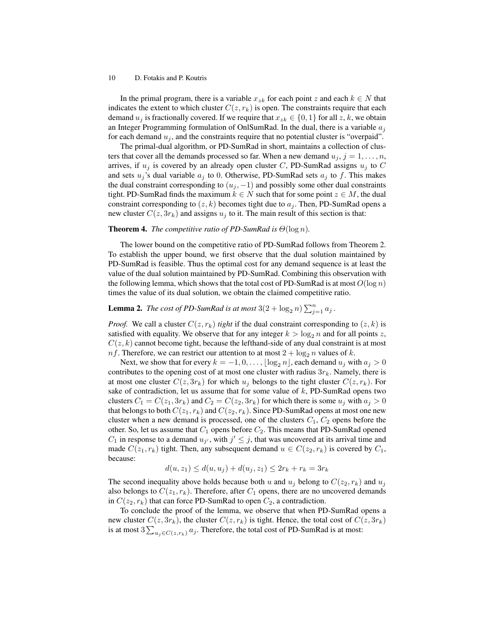#### 10 D. Fotakis and P. Koutris

In the primal program, there is a variable  $x_{zk}$  for each point z and each  $k \in N$  that indicates the extent to which cluster  $C(z, r_k)$  is open. The constraints require that each demand  $u_j$  is fractionally covered. If we require that  $x_{zk} \in \{0, 1\}$  for all z, k, we obtain an Integer Programming formulation of OnlSumRad. In the dual, there is a variable  $a_i$ for each demand  $u_i$ , and the constraints require that no potential cluster is "overpaid".

The primal-dual algorithm, or PD-SumRad in short, maintains a collection of clusters that cover all the demands processed so far. When a new demand  $u_j$ ,  $j = 1, \ldots, n$ , arrives, if  $u_j$  is covered by an already open cluster C, PD-SumRad assigns  $u_j$  to C and sets  $u_j$ 's dual variable  $a_j$  to 0. Otherwise, PD-SumRad sets  $a_j$  to f. This makes the dual constraint corresponding to  $(u_j, -1)$  and possibly some other dual constraints tight. PD-SumRad finds the maximum  $k \in N$  such that for some point  $z \in M$ , the dual constraint corresponding to  $(z, k)$  becomes tight due to  $a_j$ . Then, PD-SumRad opens a new cluster  $C(z, 3r_k)$  and assigns  $u_j$  to it. The main result of this section is that:

#### **Theorem 4.** *The competitive ratio of PD-SumRad is*  $\Theta(\log n)$ *.*

The lower bound on the competitive ratio of PD-SumRad follows from Theorem 2. To establish the upper bound, we first observe that the dual solution maintained by PD-SumRad is feasible. Thus the optimal cost for any demand sequence is at least the value of the dual solution maintained by PD-SumRad. Combining this observation with the following lemma, which shows that the total cost of PD-SumRad is at most  $O(\log n)$ times the value of its dual solution, we obtain the claimed competitive ratio.

# **Lemma 2.** The cost of PD-SumRad is at most  $3(2 + \log_2 n) \sum_{j=1}^n a_j$ .

*Proof.* We call a cluster  $C(z, r_k)$  *tight* if the dual constraint corresponding to  $(z, k)$  is satisfied with equality. We observe that for any integer  $k > \log_2 n$  and for all points z,  $C(z, k)$  cannot become tight, because the lefthand-side of any dual constraint is at most *nf*. Therefore, we can restrict our attention to at most  $2 + \log_2 n$  values of k.

Next, we show that for every  $k = -1, 0, \ldots, |\log_2 n|$ , each demand  $u_i$  with  $a_i > 0$ contributes to the opening cost of at most one cluster with radius  $3r_k$ . Namely, there is at most one cluster  $C(z, 3r_k)$  for which  $u_j$  belongs to the tight cluster  $C(z, r_k)$ . For sake of contradiction, let us assume that for some value of k, PD-SumRad opens two clusters  $C_1 = C(z_1, 3r_k)$  and  $C_2 = C(z_2, 3r_k)$  for which there is some  $u_j$  with  $a_j > 0$ that belongs to both  $C(z_1, r_k)$  and  $C(z_2, r_k)$ . Since PD-SumRad opens at most one new cluster when a new demand is processed, one of the clusters  $C_1$ ,  $C_2$  opens before the other. So, let us assume that  $C_1$  opens before  $C_2$ . This means that PD-SumRad opened  $C_1$  in response to a demand  $u_{j'}$ , with  $j' \leq j$ , that was uncovered at its arrival time and made  $C(z_1, r_k)$  tight. Then, any subsequent demand  $u \in C(z_2, r_k)$  is covered by  $C_1$ , because:

$$
d(u, z_1) \le d(u, u_j) + d(u_j, z_1) \le 2r_k + r_k = 3r_k
$$

The second inequality above holds because both u and  $u_i$  belong to  $C(z_2, r_k)$  and  $u_i$ also belongs to  $C(z_1, r_k)$ . Therefore, after  $C_1$  opens, there are no uncovered demands in  $C(z_2, r_k)$  that can force PD-SumRad to open  $C_2$ , a contradiction.

To conclude the proof of the lemma, we observe that when PD-SumRad opens a new cluster  $C(z, 3r_k)$ , the cluster  $C(z, r_k)$  is tight. Hence, the total cost of  $C(z, 3r_k)$ is at most  $3\sum_{u_j \in C(z,r_k)} a_j$ . Therefore, the total cost of PD-SumRad is at most: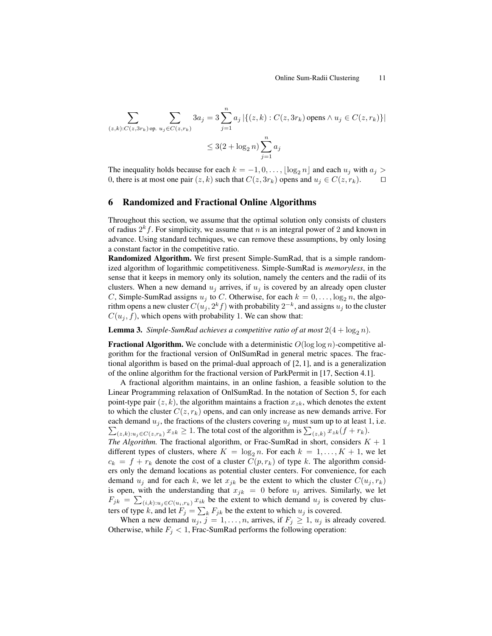$$
\sum_{(z,k):C(z,3r_k)\text{ op. }u_j\in C(z,r_k)} 3a_j = 3 \sum_{j=1}^n a_j |\{(z,k):C(z,3r_k)\text{ opens}\land u_j\in C(z,r_k)\}|
$$
  

$$
\leq 3(2+\log_2 n) \sum_{j=1}^n a_j
$$

The inequality holds because for each  $k = -1, 0, \ldots, \lfloor \log_2 n \rfloor$  and each  $u_j$  with  $a_j > 0$ , there is at most one pair  $(z, k)$  such that  $C(z, 3r_k)$  opens and  $u_i \in C(z, r_k)$ . 0, there is at most one pair  $(z, k)$  such that  $C(z, 3r_k)$  opens and  $u_i \in C(z, r_k)$ .

## 6 Randomized and Fractional Online Algorithms

Throughout this section, we assume that the optimal solution only consists of clusters of radius  $2^k f$ . For simplicity, we assume that n is an integral power of 2 and known in advance. Using standard techniques, we can remove these assumptions, by only losing a constant factor in the competitive ratio.

Randomized Algorithm. We first present Simple-SumRad, that is a simple randomized algorithm of logarithmic competitiveness. Simple-SumRad is *memoryless*, in the sense that it keeps in memory only its solution, namely the centers and the radii of its clusters. When a new demand  $u_i$  arrives, if  $u_i$  is covered by an already open cluster C, Simple-SumRad assigns  $u_i$  to C. Otherwise, for each  $k = 0, \ldots, \log_2 n$ , the algorithm opens a new cluster  $C(u_j, 2^k f)$  with probability  $2^{-k}$ , and assigns  $u_j$  to the cluster  $C(u_i, f)$ , which opens with probability 1. We can show that:

**Lemma 3.** *Simple-SumRad achieves a competitive ratio of at most*  $2(4 + \log_2 n)$ *.* 

**Fractional Algorithm.** We conclude with a deterministic  $O(\log \log n)$ -competitive algorithm for the fractional version of OnlSumRad in general metric spaces. The fractional algorithm is based on the primal-dual approach of [2, 1], and is a generalization of the online algorithm for the fractional version of ParkPermit in [17, Section 4.1].

A fractional algorithm maintains, in an online fashion, a feasible solution to the Linear Programming relaxation of OnlSumRad. In the notation of Section 5, for each point-type pair  $(z, k)$ , the algorithm maintains a fraction  $x_{zk}$ , which denotes the extent to which the cluster  $C(z, r_k)$  opens, and can only increase as new demands arrive. For  $\sum_{(z,k):u_j\in C(z,r_k)} x_{zk} \ge 1$ . The total cost of the algorithm is  $\sum_{(z,k)} x_{zk}(f+r_k)$ . each demand  $u_j$ , the fractions of the clusters covering  $u_j$  must sum up to at least 1, i.e. *The Algorithm.* The fractional algorithm, or Frac-SumRad in short, considers  $K + 1$ different types of clusters, where  $K = \log_2 n$ . For each  $k = 1, ..., K + 1$ , we let  $c_k = f + r_k$  denote the cost of a cluster  $C(p, r_k)$  of type k. The algorithm considers only the demand locations as potential cluster centers. For convenience, for each demand  $u_j$  and for each k, we let  $x_{jk}$  be the extent to which the cluster  $C(u_j, r_k)$ is open, with the understanding that  $x_{jk} = 0$  before  $u_j$  arrives. Similarly, we let  $F_{jk} = \sum_{(i,k):u_j \in C(u_i,r_k)} x_{ik}$  be the extent to which demand  $u_j$  is covered by clusters of type k, and let  $F_j = \sum_k F_{jk}$  be the extent to which  $u_j$  is covered.

When a new demand  $u_j$ ,  $j = 1, \ldots, n$ , arrives, if  $F_j \geq 1$ ,  $u_j$  is already covered. Otherwise, while  $F_j < 1$ , Frac-SumRad performs the following operation: